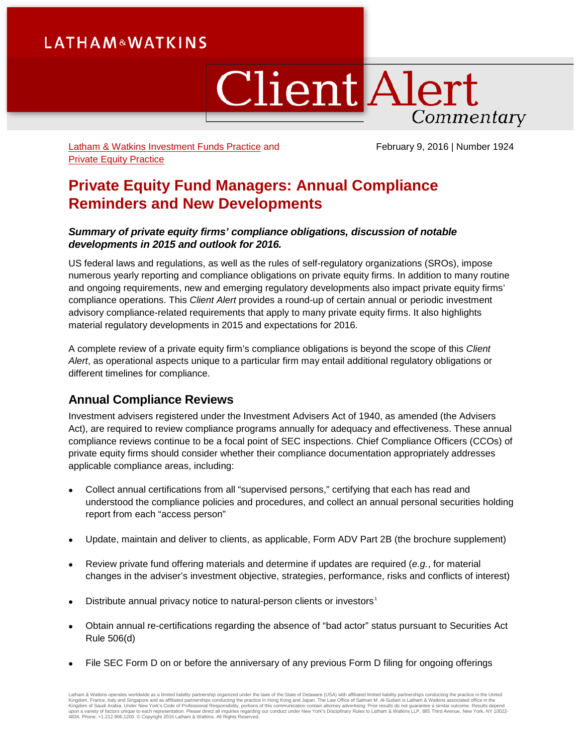# **LATHAM&WATKINS**

# **Client Alert** Commentary

[Latham & Watkins Investment Funds Practice](https://www.lw.com/practices/InvestmentFunds) and [Private Equity Practice](https://www.lw.com/practices/PrivateEquity)

February 9, 2016 | Number 1924

# **Private Equity Fund Managers: Annual Compliance Reminders and New Developments**

### *Summary of private equity firms' compliance obligations, discussion of notable developments in 2015 and outlook for 2016.*

US federal laws and regulations, as well as the rules of self-regulatory organizations (SROs), impose numerous yearly reporting and compliance obligations on private equity firms. In addition to many routine and ongoing requirements, new and emerging regulatory developments also impact private equity firms' compliance operations. This *Client Alert* provides a round-up of certain annual or periodic investment advisory compliance-related requirements that apply to many private equity firms. It also highlights material regulatory developments in 2015 and expectations for 2016.

A complete review of a private equity firm's compliance obligations is beyond the scope of this *Client Alert*, as operational aspects unique to a particular firm may entail additional regulatory obligations or different timelines for compliance.

# **Annual Compliance Reviews**

Investment advisers registered under the Investment Advisers Act of 1940, as amended (the Advisers Act), are required to review compliance programs annually for adequacy and effectiveness. These annual compliance reviews continue to be a focal point of SEC inspections. Chief Compliance Officers (CCOs) of private equity firms should consider whether their compliance documentation appropriately addresses applicable compliance areas, including:

- Collect annual certifications from all "supervised persons," certifying that each has read and understood the compliance policies and procedures, and collect an annual personal securities holding report from each "access person"
- Update, maintain and deliver to clients, as applicable, Form ADV Part 2B (the brochure supplement)
- Review private fund offering materials and determine if updates are required (*e.g.*, for material changes in the adviser's investment objective, strategies, performance, risks and conflicts of interest)
- Distribute annual privacy notice to natural-person clients or investors<sup>[1](#page-8-0)</sup>
- Obtain annual re-certifications regarding the absence of "bad actor" status pursuant to Securities Act Rule 506(d)
- File SEC Form D on or before the anniversary of any previous Form D filing for ongoing offerings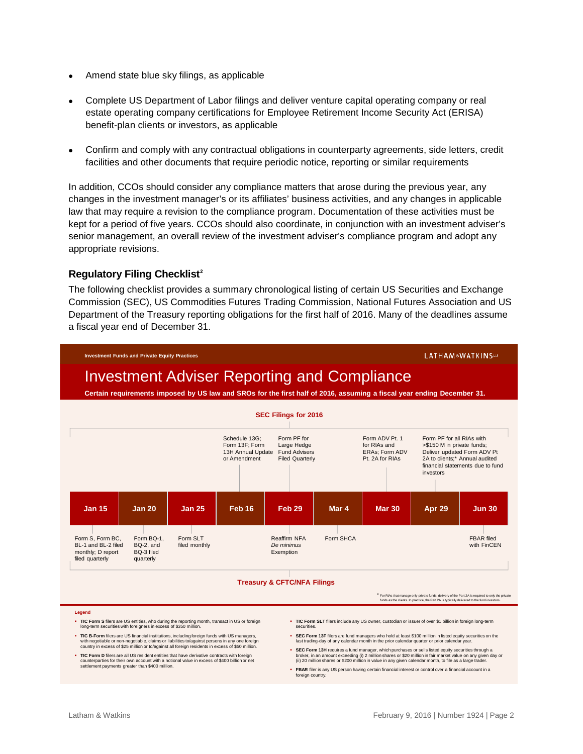- Amend state blue sky filings, as applicable
- Complete US Department of Labor filings and deliver venture capital operating company or real estate operating company certifications for Employee Retirement Income Security Act (ERISA) benefit-plan clients or investors, as applicable
- Confirm and comply with any contractual obligations in counterparty agreements, side letters, credit facilities and other documents that require periodic notice, reporting or similar requirements

In addition, CCOs should consider any compliance matters that arose during the previous year, any changes in the investment manager's or its affiliates' business activities, and any changes in applicable law that may require a revision to the compliance program. Documentation of these activities must be kept for a period of five years. CCOs should also coordinate, in conjunction with an investment adviser's senior management, an overall review of the investment adviser's compliance program and adopt any appropriate revisions.

#### **Regulatory Filing Checklist[2](#page-8-1)**

The following checklist provides a summary chronological listing of certain US Securities and Exchange Commission (SEC), US Commodities Futures Trading Commission, National Futures Association and US Department of the Treasury reporting obligations for the first half of 2016. Many of the deadlines assume a fiscal year end of December 31.



- TIC B-Form filers are US financial institutions, including foreign funds with US managers,<br>with negotiable or non-negotiable, claims or liabilities to/against persons in any one foreign<br>country in excess of \$25 million or
- TIC Form D filers are all US resident entities that have derivative contracts with foreign<br>counterparties for their own account with a notional value in excess of \$400 billion or net<br>settlement payments greater than \$400 m
- securities.
- **SEC Form 13F** filers are fund managers who hold at least \$100 million in listed equity securities on the last trading-day of any calendar month in the prior calendar quarter or prior calendar year.
- SEC Form 13H requires a fund manager, which purchases or sells listed equity securities through a<br>broker, in an amount exceeding (i) 2 million shares or \$20 million in fair market value on any given day or<br>(ii) 20 mill **FBAR** filer is any US person having certain financial interest or control over a financial account in a
- foreign country.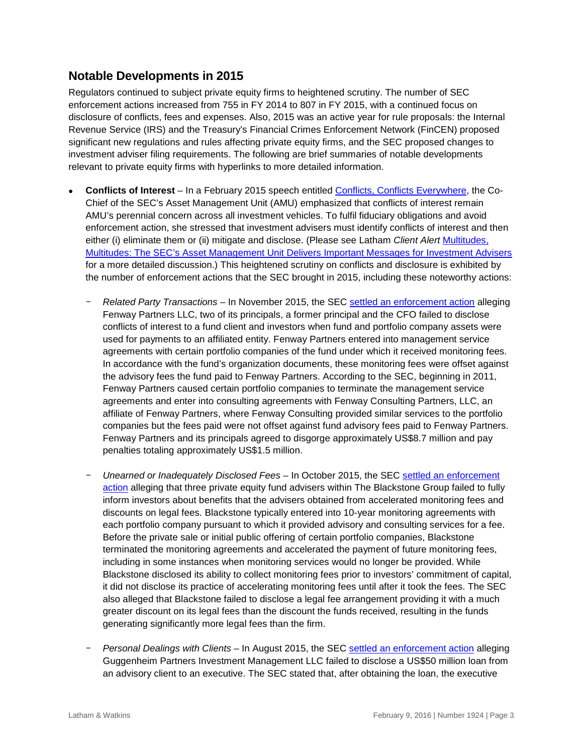# **Notable Developments in 2015**

Regulators continued to subject private equity firms to heightened scrutiny. The number of SEC enforcement actions increased from 755 in FY 2014 to 807 in FY 2015, with a continued focus on disclosure of conflicts, fees and expenses. Also, 2015 was an active year for rule proposals: the Internal Revenue Service (IRS) and the Treasury's Financial Crimes Enforcement Network (FinCEN) proposed significant new regulations and rules affecting private equity firms, and the SEC proposed changes to investment adviser filing requirements. The following are brief summaries of notable developments relevant to private equity firms with hyperlinks to more detailed information.

- **Conflicts of Interest**  In a February 2015 speech entitled [Conflicts, Conflicts Everywhere,](https://www.sec.gov/news/speech/conflicts-everywhere-full-360-view.html) the Co-Chief of the SEC's Asset Management Unit (AMU) emphasized that conflicts of interest remain AMU's perennial concern across all investment vehicles. To fulfil fiduciary obligations and avoid enforcement action, she stressed that investment advisers must identify conflicts of interest and then either (i) eliminate them or (ii) mitigate and disclose. (Please see Latham *Client Alert* [Multitudes,](https://www.lw.com/thoughtLeadership/LW-SEC-AMU-enforcement-priorities)  [Multitudes: The SEC's Asset Management Unit Delivers Important Messages for Investment Advisers](https://www.lw.com/thoughtLeadership/LW-SEC-AMU-enforcement-priorities) for a more detailed discussion.) This heightened scrutiny on conflicts and disclosure is exhibited by the number of enforcement actions that the SEC brought in 2015, including these noteworthy actions:
	- *Related Party Transactions* In November 2015, the SEC [settled an enforcement action](https://www.sec.gov/litigation/admin/2015/ia-4253.pdf) alleging Fenway Partners LLC, two of its principals, a former principal and the CFO failed to disclose conflicts of interest to a fund client and investors when fund and portfolio company assets were used for payments to an affiliated entity. Fenway Partners entered into management service agreements with certain portfolio companies of the fund under which it received monitoring fees. In accordance with the fund's organization documents, these monitoring fees were offset against the advisory fees the fund paid to Fenway Partners. According to the SEC, beginning in 2011, Fenway Partners caused certain portfolio companies to terminate the management service agreements and enter into consulting agreements with Fenway Consulting Partners, LLC, an affiliate of Fenway Partners, where Fenway Consulting provided similar services to the portfolio companies but the fees paid were not offset against fund advisory fees paid to Fenway Partners. Fenway Partners and its principals agreed to disgorge approximately US\$8.7 million and pay penalties totaling approximately US\$1.5 million.
	- *Unearned or Inadequately Disclosed Fees*  In October 2015, the SEC [settled an enforcement](https://www.sec.gov/litigation/admin/2015/ia-4219.pdf)  [action](https://www.sec.gov/litigation/admin/2015/ia-4219.pdf) alleging that three private equity fund advisers within The Blackstone Group failed to fully inform investors about benefits that the advisers obtained from accelerated monitoring fees and discounts on legal fees. Blackstone typically entered into 10-year monitoring agreements with each portfolio company pursuant to which it provided advisory and consulting services for a fee. Before the private sale or initial public offering of certain portfolio companies, Blackstone terminated the monitoring agreements and accelerated the payment of future monitoring fees, including in some instances when monitoring services would no longer be provided. While Blackstone disclosed its ability to collect monitoring fees prior to investors' commitment of capital, it did not disclose its practice of accelerating monitoring fees until after it took the fees. The SEC also alleged that Blackstone failed to disclose a legal fee arrangement providing it with a much greater discount on its legal fees than the discount the funds received, resulting in the funds generating significantly more legal fees than the firm.
	- *Personal Dealings with Clients* In August 2015, the SEC [settled an enforcement action](https://www.sec.gov/litigation/admin/2015/ia-4163.pdf) alleging Guggenheim Partners Investment Management LLC failed to disclose a US\$50 million loan from an advisory client to an executive. The SEC stated that, after obtaining the loan, the executive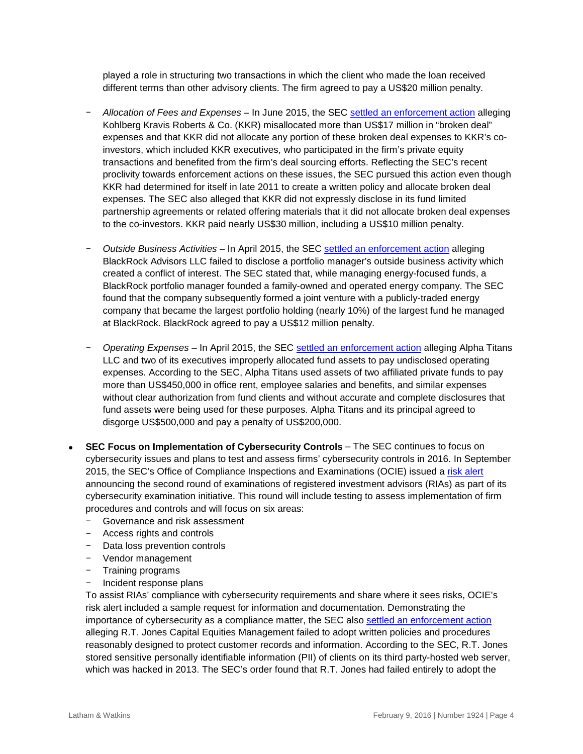played a role in structuring two transactions in which the client who made the loan received different terms than other advisory clients. The firm agreed to pay a US\$20 million penalty.

- *Allocation of Fees and Expenses* In June 2015, the SEC [settled an enforcement action](https://www.sec.gov/litigation/admin/2015/ia-4131.pdf) alleging Kohlberg Kravis Roberts & Co. (KKR) misallocated more than US\$17 million in "broken deal" expenses and that KKR did not allocate any portion of these broken deal expenses to KKR's coinvestors, which included KKR executives, who participated in the firm's private equity transactions and benefited from the firm's deal sourcing efforts. Reflecting the SEC's recent proclivity towards enforcement actions on these issues, the SEC pursued this action even though KKR had determined for itself in late 2011 to create a written policy and allocate broken deal expenses. The SEC also alleged that KKR did not expressly disclose in its fund limited partnership agreements or related offering materials that it did not allocate broken deal expenses to the co-investors. KKR paid nearly US\$30 million, including a US\$10 million penalty.
- *Outside Business Activities* In April 2015, the SEC [settled an enforcement action](https://www.sec.gov/litigation/admin/2015/ia-4065.pdf) alleging BlackRock Advisors LLC failed to disclose a portfolio manager's outside business activity which created a conflict of interest. The SEC stated that, while managing energy-focused funds, a BlackRock portfolio manager founded a family-owned and operated energy company. The SEC found that the company subsequently formed a joint venture with a publicly-traded energy company that became the largest portfolio holding (nearly 10%) of the largest fund he managed at BlackRock. BlackRock agreed to pay a US\$12 million penalty.
- *Operating Expenses* In April 2015, the SEC [settled an enforcement action](https://www.sec.gov/litigation/admin/2015/34-74828.pdf) alleging Alpha Titans LLC and two of its executives improperly allocated fund assets to pay undisclosed operating expenses. According to the SEC, Alpha Titans used assets of two affiliated private funds to pay more than US\$450,000 in office rent, employee salaries and benefits, and similar expenses without clear authorization from fund clients and without accurate and complete disclosures that fund assets were being used for these purposes. Alpha Titans and its principal agreed to disgorge US\$500,000 and pay a penalty of US\$200,000.
- **SEC Focus on Implementation of Cybersecurity Controls** The SEC continues to focus on cybersecurity issues and plans to test and assess firms' cybersecurity controls in 2016. In September 2015, the SEC's Office of Compliance Inspections and Examinations (OCIE) issued a [risk alert](https://www.sec.gov/ocie/announcement/ocie-2015-cybersecurity-examination-initiative.pdf) announcing the second round of examinations of registered investment advisors (RIAs) as part of its cybersecurity examination initiative. This round will include testing to assess implementation of firm procedures and controls and will focus on six areas:
	- Governance and risk assessment
	- Access rights and controls
	- Data loss prevention controls
	- Vendor management
	- Training programs
	- Incident response plans

To assist RIAs' compliance with cybersecurity requirements and share where it sees risks, OCIE's risk alert included a sample request for information and documentation. Demonstrating the importance of cybersecurity as a compliance matter, the SEC also [settled an enforcement action](https://www.sec.gov/litigation/admin/2015/ia-4204.pdf) alleging R.T. Jones Capital Equities Management failed to adopt written policies and procedures reasonably designed to protect customer records and information. According to the SEC, R.T. Jones stored sensitive personally identifiable information (PII) of clients on its third party-hosted web server, which was hacked in 2013. The SEC's order found that R.T. Jones had failed entirely to adopt the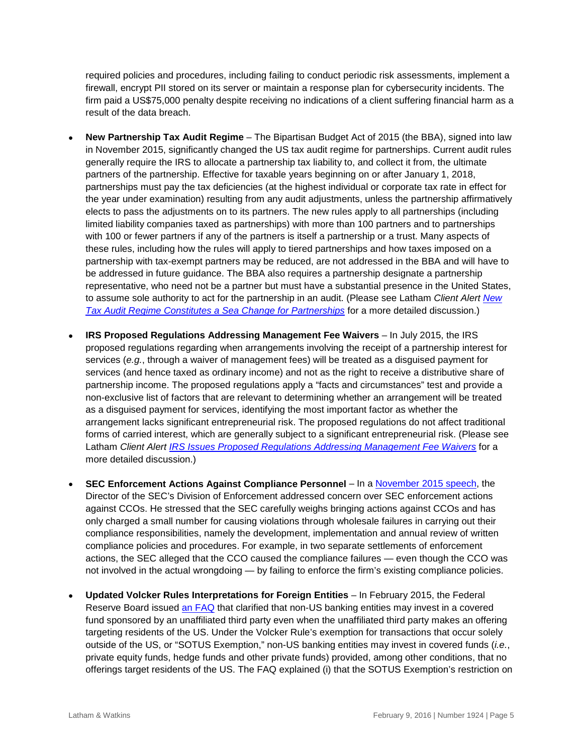required policies and procedures, including failing to conduct periodic risk assessments, implement a firewall, encrypt PII stored on its server or maintain a response plan for cybersecurity incidents. The firm paid a US\$75,000 penalty despite receiving no indications of a client suffering financial harm as a result of the data breach.

- **New Partnership Tax Audit Regime**  The Bipartisan Budget Act of 2015 (the BBA), signed into law in November 2015, significantly changed the US tax audit regime for partnerships. Current audit rules generally require the IRS to allocate a partnership tax liability to, and collect it from, the ultimate partners of the partnership. Effective for taxable years beginning on or after January 1, 2018, partnerships must pay the tax deficiencies (at the highest individual or corporate tax rate in effect for the year under examination) resulting from any audit adjustments, unless the partnership affirmatively elects to pass the adjustments on to its partners. The new rules apply to all partnerships (including limited liability companies taxed as partnerships) with more than 100 partners and to partnerships with 100 or fewer partners if any of the partners is itself a partnership or a trust. Many aspects of these rules, including how the rules will apply to tiered partnerships and how taxes imposed on a partnership with tax-exempt partners may be reduced, are not addressed in the BBA and will have to be addressed in future guidance. The BBA also requires a partnership designate a partnership representative, who need not be a partner but must have a substantial presence in the United States, to assume sole authority to act for the partnership in an audit. (Please see Latham *Client Alert [New](https://www.lw.com/thoughtLeadership/LW-new-IRS-partnership-audit-regime)  [Tax Audit Regime Constitutes a Sea Change for Partnerships](https://www.lw.com/thoughtLeadership/LW-new-IRS-partnership-audit-regime)* for a more detailed discussion.)
- **IRS Proposed Regulations Addressing Management Fee Waivers In July 2015, the IRS** proposed regulations regarding when arrangements involving the receipt of a partnership interest for services (*e.g.*, through a waiver of management fees) will be treated as a disguised payment for services (and hence taxed as ordinary income) and not as the right to receive a distributive share of partnership income. The proposed regulations apply a "facts and circumstances" test and provide a non-exclusive list of factors that are relevant to determining whether an arrangement will be treated as a disguised payment for services, identifying the most important factor as whether the arrangement lacks significant entrepreneurial risk. The proposed regulations do not affect traditional forms of carried interest, which are generally subject to a significant entrepreneurial risk. (Please see Latham *Client Alert [IRS Issues Proposed Regulations Addressing Management Fee Waivers](https://www.lw.com/thoughtLeadership/lw-irs-managed-fee-waivers)* for a more detailed discussion.)
- **SEC Enforcement Actions Against Compliance Personnel** In a [November 2015 speech,](https://www.sec.gov/news/speech/keynote-address-2015-national-society-compliance-prof-cereseney.html) the Director of the SEC's Division of Enforcement addressed concern over SEC enforcement actions against CCOs. He stressed that the SEC carefully weighs bringing actions against CCOs and has only charged a small number for causing violations through wholesale failures in carrying out their compliance responsibilities, namely the development, implementation and annual review of written compliance policies and procedures. For example, in two separate settlements of enforcement actions, the SEC alleged that the CCO caused the compliance failures — even though the CCO was not involved in the actual wrongdoing — by failing to enforce the firm's existing compliance policies.
- **Updated Volcker Rules Interpretations for Foreign Entities** In February 2015, the Federal Reserve Board issued an [FAQ](http://www.federalreserve.gov/bankinforeg/volcker-rule/faq.htm) that clarified that non-US banking entities may invest in a covered fund sponsored by an unaffiliated third party even when the unaffiliated third party makes an offering targeting residents of the US. Under the Volcker Rule's exemption for transactions that occur solely outside of the US, or "SOTUS Exemption," non-US banking entities may invest in covered funds (*i.e.*, private equity funds, hedge funds and other private funds) provided, among other conditions, that no offerings target residents of the US. The FAQ explained (i) that the SOTUS Exemption's restriction on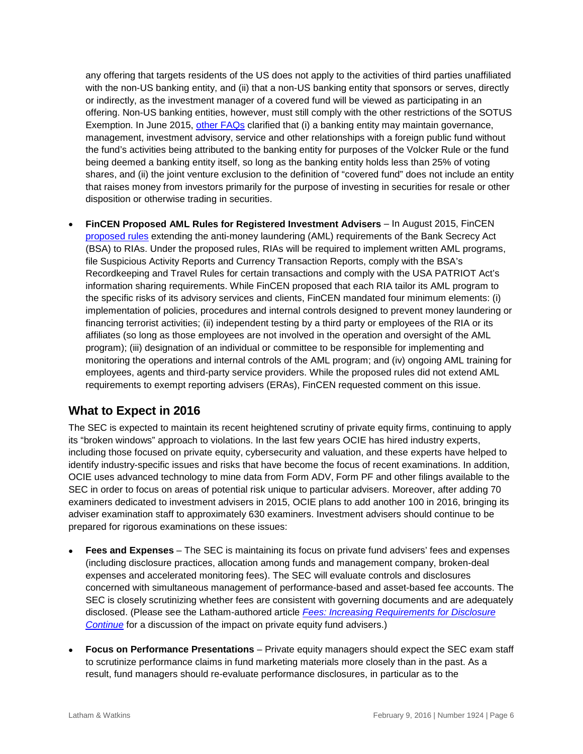any offering that targets residents of the US does not apply to the activities of third parties unaffiliated with the non-US banking entity, and (ii) that a non-US banking entity that sponsors or serves, directly or indirectly, as the investment manager of a covered fund will be viewed as participating in an offering. Non-US banking entities, however, must still comply with the other restrictions of the SOTUS Exemption. In June 2015, [other FAQs](http://www.federalreserve.gov/bankinforeg/volcker-rule/faq.htm) clarified that (i) a banking entity may maintain governance, management, investment advisory, service and other relationships with a foreign public fund without the fund's activities being attributed to the banking entity for purposes of the Volcker Rule or the fund being deemed a banking entity itself, so long as the banking entity holds less than 25% of voting shares, and (ii) the joint venture exclusion to the definition of "covered fund" does not include an entity that raises money from investors primarily for the purpose of investing in securities for resale or other disposition or otherwise trading in securities.

• **FinCEN Proposed AML Rules for Registered Investment Advisers** – In August 2015, FinCEN [proposed rules](https://www.fincen.gov/news_room/nr/html/20150825.html) extending the anti-money laundering (AML) requirements of the Bank Secrecy Act (BSA) to RIAs. Under the proposed rules, RIAs will be required to implement written AML programs, file Suspicious Activity Reports and Currency Transaction Reports, comply with the BSA's Recordkeeping and Travel Rules for certain transactions and comply with the USA PATRIOT Act's information sharing requirements. While FinCEN proposed that each RIA tailor its AML program to the specific risks of its advisory services and clients, FinCEN mandated four minimum elements: (i) implementation of policies, procedures and internal controls designed to prevent money laundering or financing terrorist activities; (ii) independent testing by a third party or employees of the RIA or its affiliates (so long as those employees are not involved in the operation and oversight of the AML program); (iii) designation of an individual or committee to be responsible for implementing and monitoring the operations and internal controls of the AML program; and (iv) ongoing AML training for employees, agents and third-party service providers. While the proposed rules did not extend AML requirements to exempt reporting advisers (ERAs), FinCEN requested comment on this issue.

# **What to Expect in 2016**

The SEC is expected to maintain its recent heightened scrutiny of private equity firms, continuing to apply its "broken windows" approach to violations. In the last few years OCIE has hired industry experts, including those focused on private equity, cybersecurity and valuation, and these experts have helped to identify industry-specific issues and risks that have become the focus of recent examinations. In addition, OCIE uses advanced technology to mine data from Form ADV, Form PF and other filings available to the SEC in order to focus on areas of potential risk unique to particular advisers. Moreover, after adding 70 examiners dedicated to investment advisers in 2015, OCIE plans to add another 100 in 2016, bringing its adviser examination staff to approximately 630 examiners. Investment advisers should continue to be prepared for rigorous examinations on these issues:

- **Fees and Expenses** The SEC is maintaining its focus on private fund advisers' fees and expenses (including disclosure practices, allocation among funds and management company, broken-deal expenses and accelerated monitoring fees). The SEC will evaluate controls and disclosures concerned with simultaneous management of performance-based and asset-based fee accounts. The SEC is closely scrutinizing whether fees are consistent with governing documents and are adequately disclosed. (Please see the Latham-authored article *[Fees: Increasing Requirements for Disclosure](https://www.lw.com/thoughtLeadership/fees-increasing-requirements-for-disclosure-continue)  [Continue](https://www.lw.com/thoughtLeadership/fees-increasing-requirements-for-disclosure-continue)* for a discussion of the impact on private equity fund advisers.)
- **Focus on Performance Presentations** Private equity managers should expect the SEC exam staff to scrutinize performance claims in fund marketing materials more closely than in the past. As a result, fund managers should re-evaluate performance disclosures, in particular as to the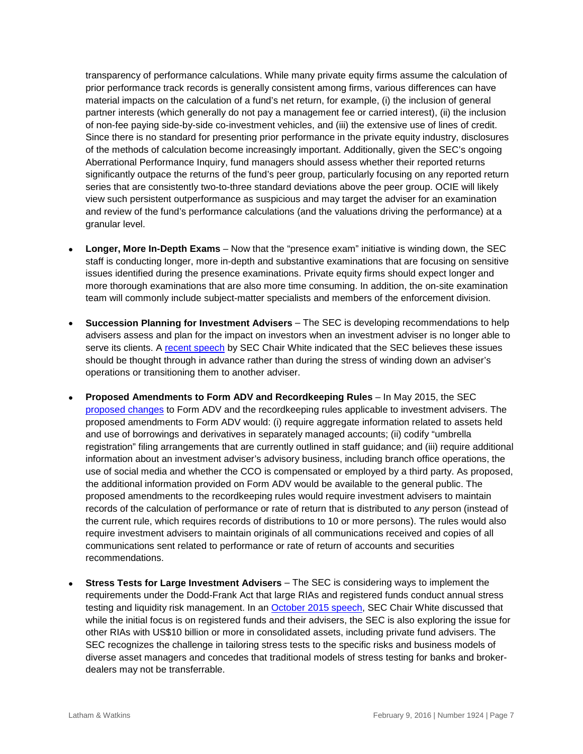transparency of performance calculations. While many private equity firms assume the calculation of prior performance track records is generally consistent among firms, various differences can have material impacts on the calculation of a fund's net return, for example, (i) the inclusion of general partner interests (which generally do not pay a management fee or carried interest), (ii) the inclusion of non-fee paying side-by-side co-investment vehicles, and (iii) the extensive use of lines of credit. Since there is no standard for presenting prior performance in the private equity industry, disclosures of the methods of calculation become increasingly important. Additionally, given the SEC's ongoing Aberrational Performance Inquiry, fund managers should assess whether their reported returns significantly outpace the returns of the fund's peer group, particularly focusing on any reported return series that are consistently two-to-three standard deviations above the peer group. OCIE will likely view such persistent outperformance as suspicious and may target the adviser for an examination and review of the fund's performance calculations (and the valuations driving the performance) at a granular level.

- **Longer, More In-Depth Exams** Now that the "presence exam" initiative is winding down, the SEC staff is conducting longer, more in-depth and substantive examinations that are focusing on sensitive issues identified during the presence examinations. Private equity firms should expect longer and more thorough examinations that are also more time consuming. In addition, the on-site examination team will commonly include subject-matter specialists and members of the enforcement division.
- **Succession Planning for Investment Advisers** The SEC is developing recommendations to help advisers assess and plan for the impact on investors when an investment adviser is no longer able to serve its clients. A [recent speech](https://www.sec.gov/news/speech/white-regulation-of-private-fund-advisers-after-dodd-frank.html) by SEC Chair White indicated that the SEC believes these issues should be thought through in advance rather than during the stress of winding down an adviser's operations or transitioning them to another adviser.
- **Proposed Amendments to Form ADV and Recordkeeping Rules** In May 2015, the SEC [proposed changes](https://www.sec.gov/news/pressrelease/2015-95.html) to Form ADV and the recordkeeping rules applicable to investment advisers. The proposed amendments to Form ADV would: (i) require aggregate information related to assets held and use of borrowings and derivatives in separately managed accounts; (ii) codify "umbrella registration" filing arrangements that are currently outlined in staff guidance; and (iii) require additional information about an investment adviser's advisory business, including branch office operations, the use of social media and whether the CCO is compensated or employed by a third party. As proposed, the additional information provided on Form ADV would be available to the general public. The proposed amendments to the recordkeeping rules would require investment advisers to maintain records of the calculation of performance or rate of return that is distributed to *any* person (instead of the current rule, which requires records of distributions to 10 or more persons). The rules would also require investment advisers to maintain originals of all communications received and copies of all communications sent related to performance or rate of return of accounts and securities recommendations.
- **Stress Tests for Large Investment Advisers** The SEC is considering ways to implement the requirements under the Dodd-Frank Act that large RIAs and registered funds conduct annual stress testing and liquidity risk management. In an [October 2015 speech,](https://www.sec.gov/news/speech/white-regulation-of-private-fund-advisers-after-dodd-frank.html) SEC Chair White discussed that while the initial focus is on registered funds and their advisers, the SEC is also exploring the issue for other RIAs with US\$10 billion or more in consolidated assets, including private fund advisers. The SEC recognizes the challenge in tailoring stress tests to the specific risks and business models of diverse asset managers and concedes that traditional models of stress testing for banks and brokerdealers may not be transferrable.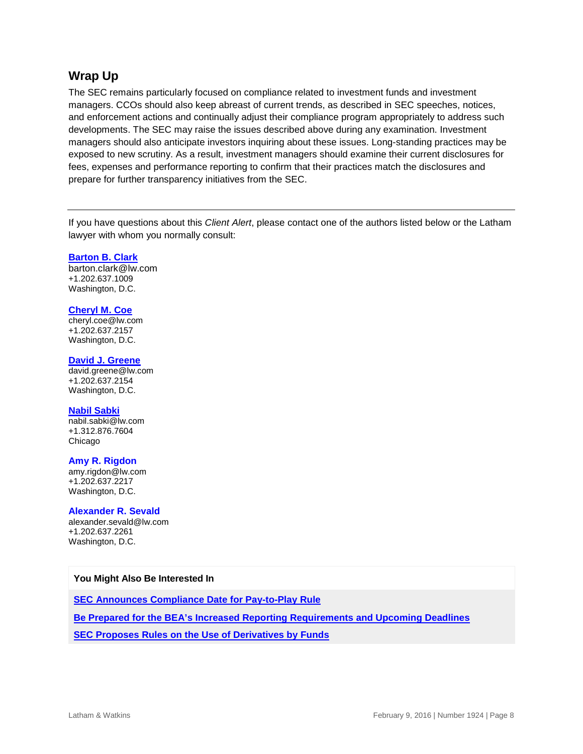## **Wrap Up**

The SEC remains particularly focused on compliance related to investment funds and investment managers. CCOs should also keep abreast of current trends, as described in SEC speeches, notices, and enforcement actions and continually adjust their compliance program appropriately to address such developments. The SEC may raise the issues described above during any examination. Investment managers should also anticipate investors inquiring about these issues. Long-standing practices may be exposed to new scrutiny. As a result, investment managers should examine their current disclosures for fees, expenses and performance reporting to confirm that their practices match the disclosures and prepare for further transparency initiatives from the SEC.

If you have questions about this *Client Alert*, please contact one of the authors listed below or the Latham lawyer with whom you normally consult:

#### **[Barton B. Clark](https://www.lw.com/people/barton-clark)**

barton.clark@lw.com +1.202.637.1009 Washington, D.C.

#### **[Cheryl M. Coe](https://www.lw.com/people/cheryl-coe)**

[cheryl.coe@lw.com](mailto:cheryl.coe@lw.com)  +1.202.637.2157 Washington, D.C.

#### **[David J. Greene](https://www.lw.com/people/david-greene)**

[david.greene@lw.com](mailto:david.greene@lw.com) +1.202.637.2154 Washington, D.C.

#### **[Nabil Sabki](https://www.lw.com/people/nabil-sabki)**

[nabil.sabki@lw.com](mailto:nabil.sabki@lw.com) +1.312.876.7604 Chicago

#### **Amy R. Rigdon**

[amy.rigdon@lw.com](mailto:amy.rigdon@lw.com) +1.202.637.2217 Washington, D.C.

#### **Alexander R. Sevald**

[alexander.sevald@lw.com](mailto:alexander.sevald@lw.com) +1.202.637.2261 Washington, D.C.

#### **You Might Also Be Interested In**

**[SEC Announces Compliance Date for Pay-to-Play Rule](https://www.lw.com/thoughtLeadership/lw-sec-pay-to-play-rule-date)**

**[Be Prepared for the BEA's Increased Reporting Requirements and Upcoming Deadlines](https://www.lw.com/thoughtLeadership/lw-BEA-reporting-requirements-deadlines)**

**[SEC Proposes Rules on the Use of Derivatives by Funds](https://www.lw.com/thoughtLeadership/lw-SEC-proposes-rules-derivatives-funds)**